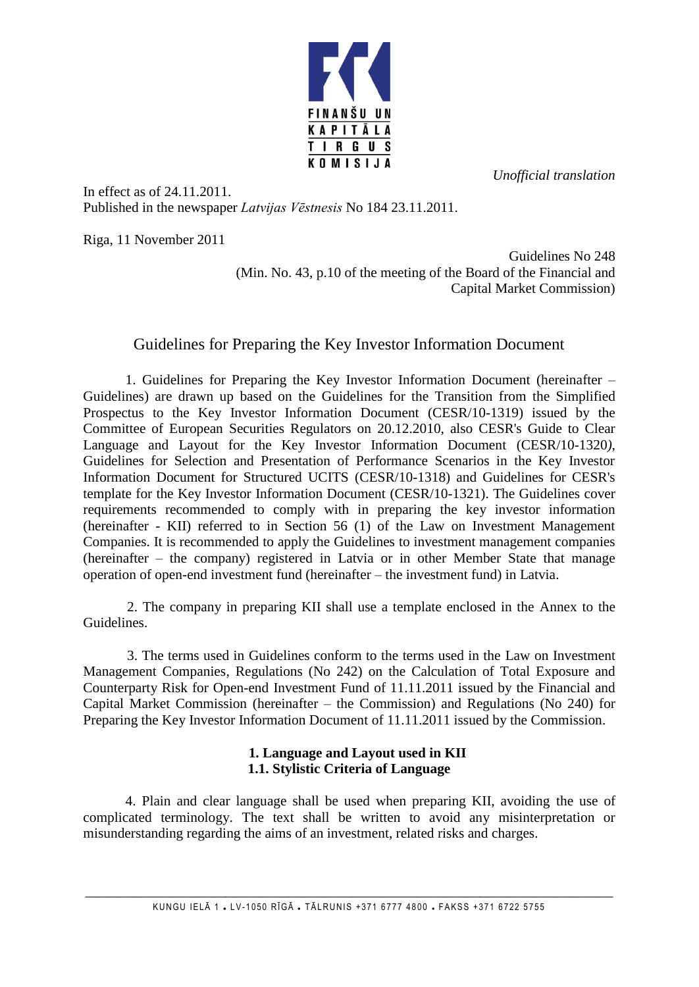*Unofficial translation* 



In effect as of 24.11.2011. Published in the newspaper *Latvijas Vēstnesis* No 184 23.11.2011.

Riga, 11 November 2011

Guidelines No 248 (Min. No. 43, p.10 of the meeting of the Board of the Financial and Capital Market Commission)

# Guidelines for Preparing the Key Investor Information Document

1. Guidelines for Preparing the Key Investor Information Document (hereinafter – Guidelines) are drawn up based on the Guidelines for the Transition from the Simplified Prospectus to the Key Investor Information Document (CESR/10-1319) issued by the Committee of European Securities Regulators on 20.12.2010, also CESR's Guide to Clear Language and Layout for the Key Investor Information Document (CESR/10-1320*)*, Guidelines for Selection and Presentation of Performance Scenarios in the Key Investor Information Document for Structured UCITS (CESR/10-1318) and Guidelines for CESR's template for the Key Investor Information Document (CESR/10-1321). The Guidelines cover requirements recommended to comply with in preparing the key investor information (hereinafter - KII) referred to in Section 56 (1) of the Law on Investment Management Companies. It is recommended to apply the Guidelines to investment management companies (hereinafter – the company) registered in Latvia or in other Member State that manage operation of open-end investment fund (hereinafter – the investment fund) in Latvia.

2. The company in preparing KII shall use a template enclosed in the Annex to the Guidelines.

3. The terms used in Guidelines conform to the terms used in the Law on Investment Management Companies, Regulations (No 242) on the Calculation of Total Exposure and Counterparty Risk for Open-end Investment Fund of 11.11.2011 issued by the Financial and Capital Market Commission (hereinafter – the Commission) and Regulations (No 240) for Preparing the Key Investor Information Document of 11.11.2011 issued by the Commission.

## **1. Language and Layout used in KII 1.1. Stylistic Criteria of Language**

4. Plain and clear language shall be used when preparing KII, avoiding the use of complicated terminology. The text shall be written to avoid any misinterpretation or misunderstanding regarding the aims of an investment, related risks and charges.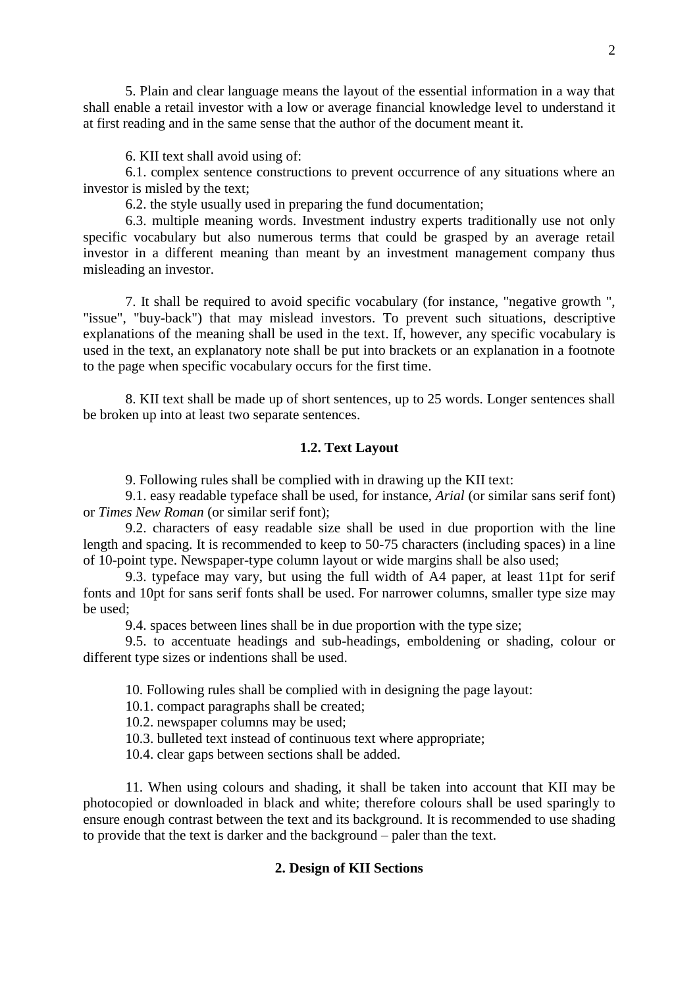5. Plain and clear language means the layout of the essential information in a way that shall enable a retail investor with a low or average financial knowledge level to understand it at first reading and in the same sense that the author of the document meant it.

6. KII text shall avoid using of:

6.1. complex sentence constructions to prevent occurrence of any situations where an investor is misled by the text;

6.2. the style usually used in preparing the fund documentation;

6.3. multiple meaning words. Investment industry experts traditionally use not only specific vocabulary but also numerous terms that could be grasped by an average retail investor in a different meaning than meant by an investment management company thus misleading an investor.

7. It shall be required to avoid specific vocabulary (for instance, "negative growth ", "issue", "buy-back") that may mislead investors. To prevent such situations, descriptive explanations of the meaning shall be used in the text. If, however, any specific vocabulary is used in the text, an explanatory note shall be put into brackets or an explanation in a footnote to the page when specific vocabulary occurs for the first time.

8. KII text shall be made up of short sentences, up to 25 words. Longer sentences shall be broken up into at least two separate sentences.

## **1.2. Text Layout**

9. Following rules shall be complied with in drawing up the KII text:

9.1. easy readable typeface shall be used, for instance, *Arial* (or similar sans serif font) or *Times New Roman* (or similar serif font);

9.2. characters of easy readable size shall be used in due proportion with the line length and spacing. It is recommended to keep to 50-75 characters (including spaces) in a line of 10-point type. Newspaper-type column layout or wide margins shall be also used;

9.3. typeface may vary, but using the full width of A4 paper, at least 11pt for serif fonts and 10pt for sans serif fonts shall be used. For narrower columns, smaller type size may be used;

9.4. spaces between lines shall be in due proportion with the type size;

9.5. to accentuate headings and sub-headings, emboldening or shading, colour or different type sizes or indentions shall be used.

10. Following rules shall be complied with in designing the page layout:

10.1. compact paragraphs shall be created;

10.2. newspaper columns may be used;

10.3. bulleted text instead of continuous text where appropriate;

10.4. clear gaps between sections shall be added.

11. When using colours and shading, it shall be taken into account that KII may be photocopied or downloaded in black and white; therefore colours shall be used sparingly to ensure enough contrast between the text and its background. It is recommended to use shading to provide that the text is darker and the background – paler than the text.

### **2. Design of KII Sections**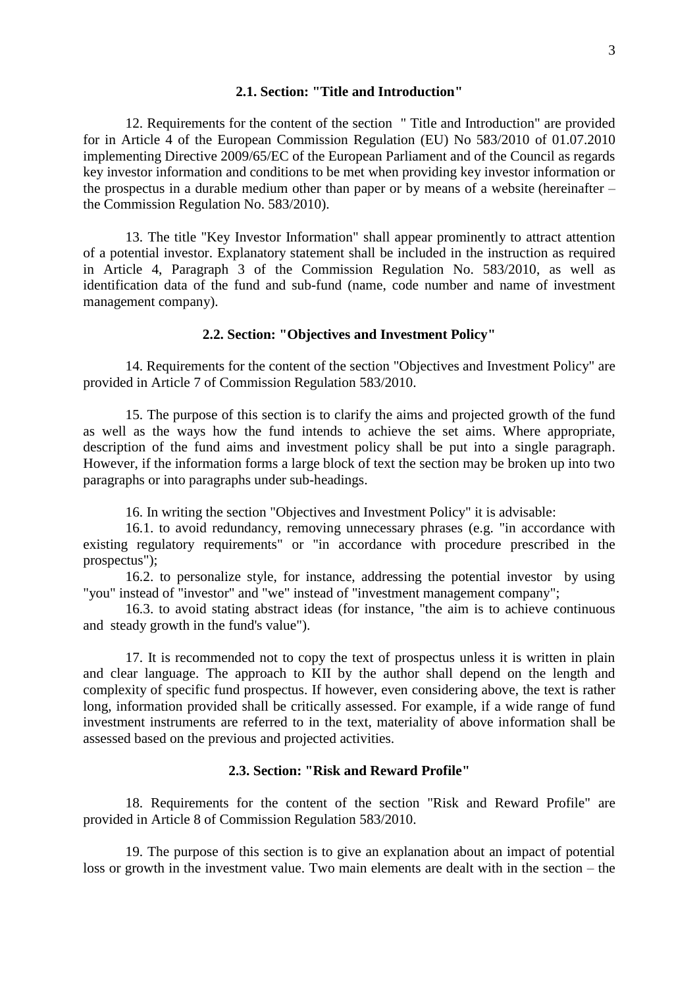## **2.1. Section: "Title and Introduction"**

12. Requirements for the content of the section " Title and Introduction" are provided for in Article 4 of the European Commission Regulation (EU) No 583/2010 of 01.07.2010 implementing Directive 2009/65/EC of the European Parliament and of the Council as regards key investor information and conditions to be met when providing key investor information or the prospectus in a durable medium other than paper or by means of a website (hereinafter – the Commission Regulation No. 583/2010).

13. The title "Key Investor Information" shall appear prominently to attract attention of a potential investor. Explanatory statement shall be included in the instruction as required in Article 4, Paragraph 3 of the Commission Regulation No. 583/2010, as well as identification data of the fund and sub-fund (name, code number and name of investment management company).

## **2.2. Section: "Objectives and Investment Policy"**

14. Requirements for the content of the section "Objectives and Investment Policy" are provided in Article 7 of Commission Regulation 583/2010.

15. The purpose of this section is to clarify the aims and projected growth of the fund as well as the ways how the fund intends to achieve the set aims. Where appropriate, description of the fund aims and investment policy shall be put into a single paragraph. However, if the information forms a large block of text the section may be broken up into two paragraphs or into paragraphs under sub-headings.

16. In writing the section "Objectives and Investment Policy" it is advisable:

16.1. to avoid redundancy, removing unnecessary phrases (e.g. "in accordance with existing regulatory requirements" or "in accordance with procedure prescribed in the prospectus");

16.2. to personalize style, for instance, addressing the potential investor by using "you" instead of "investor" and "we" instead of "investment management company";

16.3. to avoid stating abstract ideas (for instance, "the aim is to achieve continuous and steady growth in the fund's value").

17. It is recommended not to copy the text of prospectus unless it is written in plain and clear language. The approach to KII by the author shall depend on the length and complexity of specific fund prospectus. If however, even considering above, the text is rather long, information provided shall be critically assessed. For example, if a wide range of fund investment instruments are referred to in the text, materiality of above information shall be assessed based on the previous and projected activities.

## **2.3. Section: "Risk and Reward Profile"**

18. Requirements for the content of the section "Risk and Reward Profile" are provided in Article 8 of Commission Regulation 583/2010.

19. The purpose of this section is to give an explanation about an impact of potential loss or growth in the investment value. Two main elements are dealt with in the section – the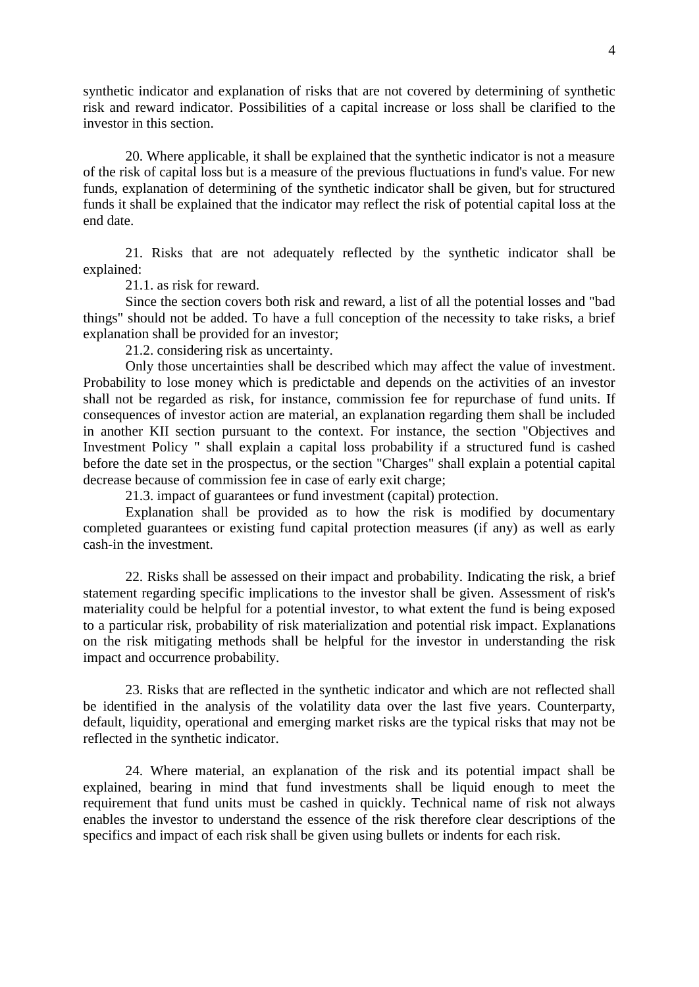synthetic indicator and explanation of risks that are not covered by determining of synthetic risk and reward indicator. Possibilities of a capital increase or loss shall be clarified to the investor in this section.

20. Where applicable, it shall be explained that the synthetic indicator is not a measure of the risk of capital loss but is a measure of the previous fluctuations in fund's value. For new funds, explanation of determining of the synthetic indicator shall be given, but for structured funds it shall be explained that the indicator may reflect the risk of potential capital loss at the end date.

21. Risks that are not adequately reflected by the synthetic indicator shall be explained:

21.1. as risk for reward.

Since the section covers both risk and reward, a list of all the potential losses and "bad things" should not be added. To have a full conception of the necessity to take risks, a brief explanation shall be provided for an investor;

21.2. considering risk as uncertainty.

Only those uncertainties shall be described which may affect the value of investment. Probability to lose money which is predictable and depends on the activities of an investor shall not be regarded as risk, for instance, commission fee for repurchase of fund units. If consequences of investor action are material, an explanation regarding them shall be included in another KII section pursuant to the context. For instance, the section "Objectives and Investment Policy " shall explain a capital loss probability if a structured fund is cashed before the date set in the prospectus, or the section "Charges" shall explain a potential capital decrease because of commission fee in case of early exit charge;

21.3. impact of guarantees or fund investment (capital) protection.

Explanation shall be provided as to how the risk is modified by documentary completed guarantees or existing fund capital protection measures (if any) as well as early cash-in the investment.

22. Risks shall be assessed on their impact and probability. Indicating the risk, a brief statement regarding specific implications to the investor shall be given. Assessment of risk's materiality could be helpful for a potential investor, to what extent the fund is being exposed to a particular risk, probability of risk materialization and potential risk impact. Explanations on the risk mitigating methods shall be helpful for the investor in understanding the risk impact and occurrence probability.

23. Risks that are reflected in the synthetic indicator and which are not reflected shall be identified in the analysis of the volatility data over the last five years. Counterparty, default, liquidity, operational and emerging market risks are the typical risks that may not be reflected in the synthetic indicator.

24. Where material, an explanation of the risk and its potential impact shall be explained, bearing in mind that fund investments shall be liquid enough to meet the requirement that fund units must be cashed in quickly. Technical name of risk not always enables the investor to understand the essence of the risk therefore clear descriptions of the specifics and impact of each risk shall be given using bullets or indents for each risk.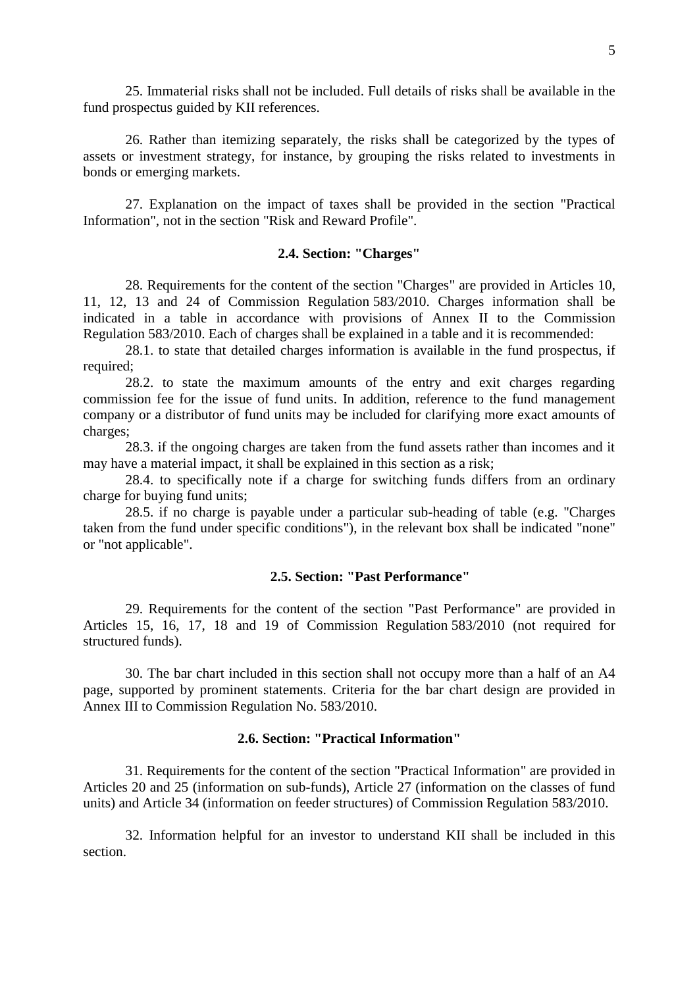25. Immaterial risks shall not be included. Full details of risks shall be available in the fund prospectus guided by KII references.

26. Rather than itemizing separately, the risks shall be categorized by the types of assets or investment strategy, for instance, by grouping the risks related to investments in bonds or emerging markets.

27. Explanation on the impact of taxes shall be provided in the section "Practical Information", not in the section "Risk and Reward Profile".

#### **2.4. Section: "Charges"**

28. Requirements for the content of the section "Charges" are provided in Articles 10, 11, 12, 13 and 24 of Commission Regulation 583/2010. Charges information shall be indicated in a table in accordance with provisions of Annex II to the Commission Regulation 583/2010. Each of charges shall be explained in a table and it is recommended:

28.1. to state that detailed charges information is available in the fund prospectus, if required;

28.2. to state the maximum amounts of the entry and exit charges regarding commission fee for the issue of fund units. In addition, reference to the fund management company or a distributor of fund units may be included for clarifying more exact amounts of charges;

28.3. if the ongoing charges are taken from the fund assets rather than incomes and it may have a material impact, it shall be explained in this section as a risk;

28.4. to specifically note if a charge for switching funds differs from an ordinary charge for buying fund units;

28.5. if no charge is payable under a particular sub-heading of table (e.g. "Charges taken from the fund under specific conditions"), in the relevant box shall be indicated "none" or "not applicable".

## **2.5. Section: "Past Performance"**

29. Requirements for the content of the section "Past Performance" are provided in Articles 15, 16, 17, 18 and 19 of Commission Regulation 583/2010 (not required for structured funds).

30. The bar chart included in this section shall not occupy more than a half of an A4 page, supported by prominent statements. Criteria for the bar chart design are provided in Annex III to Commission Regulation No. 583/2010.

## **2.6. Section: "Practical Information"**

31. Requirements for the content of the section "Practical Information" are provided in Articles 20 and 25 (information on sub-funds), Article 27 (information on the classes of fund units) and Article 34 (information on feeder structures) of Commission Regulation 583/2010.

32. Information helpful for an investor to understand KII shall be included in this section.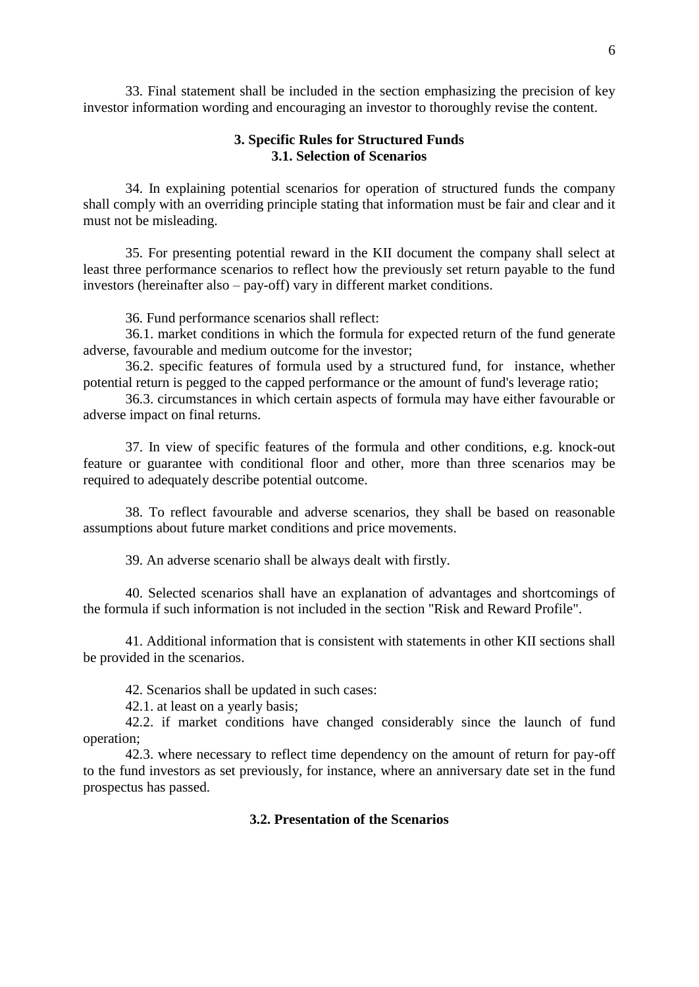33. Final statement shall be included in the section emphasizing the precision of key investor information wording and encouraging an investor to thoroughly revise the content.

## **3. Specific Rules for Structured Funds 3.1. Selection of Scenarios**

34. In explaining potential scenarios for operation of structured funds the company shall comply with an overriding principle stating that information must be fair and clear and it must not be misleading.

35. For presenting potential reward in the KII document the company shall select at least three performance scenarios to reflect how the previously set return payable to the fund investors (hereinafter also – pay-off) vary in different market conditions.

36. Fund performance scenarios shall reflect:

36.1. market conditions in which the formula for expected return of the fund generate adverse, favourable and medium outcome for the investor;

36.2. specific features of formula used by a structured fund, for instance, whether potential return is pegged to the capped performance or the amount of fund's leverage ratio;

36.3. circumstances in which certain aspects of formula may have either favourable or adverse impact on final returns.

37. In view of specific features of the formula and other conditions, e.g. knock-out feature or guarantee with conditional floor and other, more than three scenarios may be required to adequately describe potential outcome.

38. To reflect favourable and adverse scenarios, they shall be based on reasonable assumptions about future market conditions and price movements.

39. An adverse scenario shall be always dealt with firstly.

40. Selected scenarios shall have an explanation of advantages and shortcomings of the formula if such information is not included in the section "Risk and Reward Profile".

41. Additional information that is consistent with statements in other KII sections shall be provided in the scenarios.

42. Scenarios shall be updated in such cases:

42.1. at least on a yearly basis;

42.2. if market conditions have changed considerably since the launch of fund operation;

42.3. where necessary to reflect time dependency on the amount of return for pay-off to the fund investors as set previously, for instance, where an anniversary date set in the fund prospectus has passed.

## **3.2. Presentation of the Scenarios**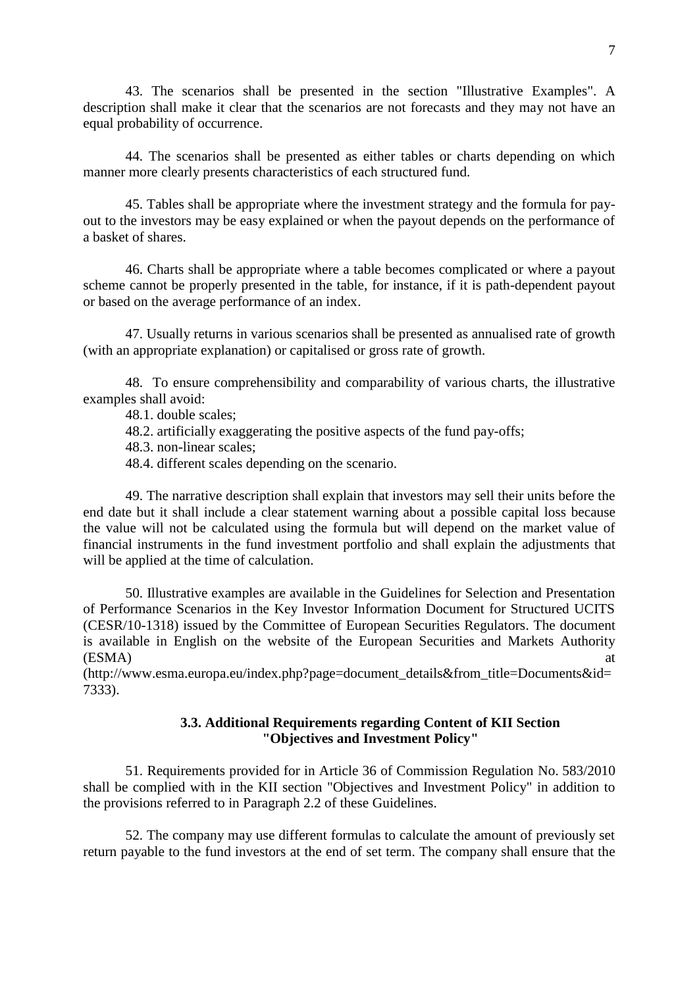43. The scenarios shall be presented in the section "Illustrative Examples". A description shall make it clear that the scenarios are not forecasts and they may not have an equal probability of occurrence.

44. The scenarios shall be presented as either tables or charts depending on which manner more clearly presents characteristics of each structured fund.

45. Tables shall be appropriate where the investment strategy and the formula for payout to the investors may be easy explained or when the payout depends on the performance of a basket of shares.

46. Charts shall be appropriate where a table becomes complicated or where a payout scheme cannot be properly presented in the table, for instance, if it is path-dependent payout or based on the average performance of an index.

47. Usually returns in various scenarios shall be presented as annualised rate of growth (with an appropriate explanation) or capitalised or gross rate of growth.

48. To ensure comprehensibility and comparability of various charts, the illustrative examples shall avoid:

48.1. double scales;

48.2. artificially exaggerating the positive aspects of the fund pay-offs;

48.3. non-linear scales;

48.4. different scales depending on the scenario.

49. The narrative description shall explain that investors may sell their units before the end date but it shall include a clear statement warning about a possible capital loss because the value will not be calculated using the formula but will depend on the market value of financial instruments in the fund investment portfolio and shall explain the adjustments that will be applied at the time of calculation.

50. Illustrative examples are available in the Guidelines for Selection and Presentation of Performance Scenarios in the Key Investor Information Document for Structured UCITS (CESR/10-1318) issued by the Committee of European Securities Regulators. The document is available in English on the website of the European Securities and Markets Authority  $(ESMA)$  at

(http://www.esma.europa.eu/index.php?page=document\_details&from\_title=Documents&id= 7333).

## **3.3. Additional Requirements regarding Content of KII Section "Objectives and Investment Policy"**

51. Requirements provided for in Article 36 of Commission Regulation No. 583/2010 shall be complied with in the KII section "Objectives and Investment Policy" in addition to the provisions referred to in Paragraph 2.2 of these Guidelines.

52. The company may use different formulas to calculate the amount of previously set return payable to the fund investors at the end of set term. The company shall ensure that the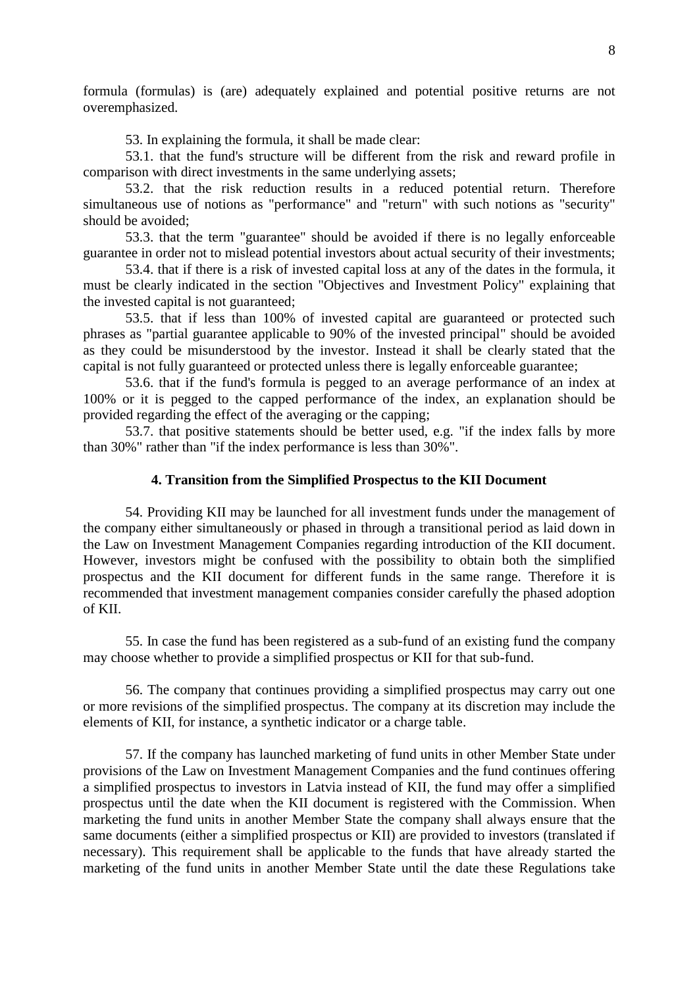formula (formulas) is (are) adequately explained and potential positive returns are not overemphasized.

53. In explaining the formula, it shall be made clear:

53.1. that the fund's structure will be different from the risk and reward profile in comparison with direct investments in the same underlying assets;

53.2. that the risk reduction results in a reduced potential return. Therefore simultaneous use of notions as "performance" and "return" with such notions as "security" should be avoided;

53.3. that the term "guarantee" should be avoided if there is no legally enforceable guarantee in order not to mislead potential investors about actual security of their investments;

53.4. that if there is a risk of invested capital loss at any of the dates in the formula, it must be clearly indicated in the section "Objectives and Investment Policy" explaining that the invested capital is not guaranteed;

53.5. that if less than 100% of invested capital are guaranteed or protected such phrases as "partial guarantee applicable to 90% of the invested principal" should be avoided as they could be misunderstood by the investor. Instead it shall be clearly stated that the capital is not fully guaranteed or protected unless there is legally enforceable guarantee;

53.6. that if the fund's formula is pegged to an average performance of an index at 100% or it is pegged to the capped performance of the index, an explanation should be provided regarding the effect of the averaging or the capping;

53.7. that positive statements should be better used, e.g. "if the index falls by more than 30%" rather than "if the index performance is less than 30%".

### **4. Transition from the Simplified Prospectus to the KII Document**

54. Providing KII may be launched for all investment funds under the management of the company either simultaneously or phased in through a transitional period as laid down in the Law on Investment Management Companies regarding introduction of the KII document. However, investors might be confused with the possibility to obtain both the simplified prospectus and the KII document for different funds in the same range. Therefore it is recommended that investment management companies consider carefully the phased adoption of KII.

55. In case the fund has been registered as a sub-fund of an existing fund the company may choose whether to provide a simplified prospectus or KII for that sub-fund.

56. The company that continues providing a simplified prospectus may carry out one or more revisions of the simplified prospectus. The company at its discretion may include the elements of KII, for instance, a synthetic indicator or a charge table.

57. If the company has launched marketing of fund units in other Member State under provisions of the Law on Investment Management Companies and the fund continues offering a simplified prospectus to investors in Latvia instead of KII, the fund may offer a simplified prospectus until the date when the KII document is registered with the Commission. When marketing the fund units in another Member State the company shall always ensure that the same documents (either a simplified prospectus or KII) are provided to investors (translated if necessary). This requirement shall be applicable to the funds that have already started the marketing of the fund units in another Member State until the date these Regulations take